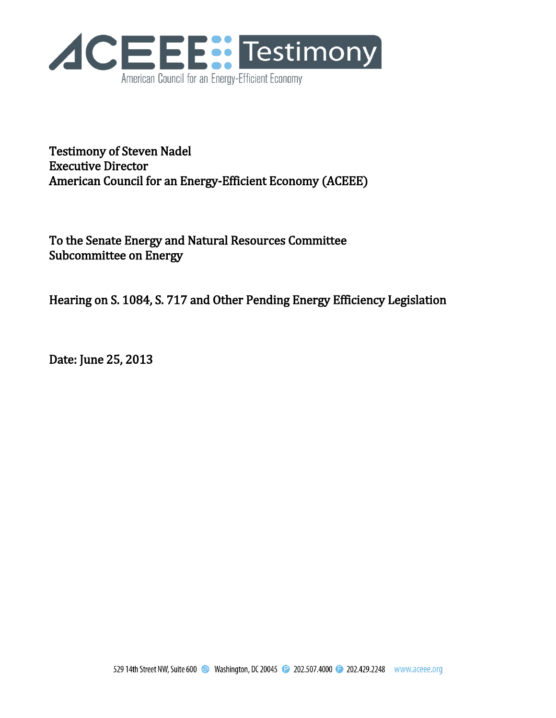

Testimony of Steven Nadel Executive Director American Council for an Energy-Efficient Economy (ACEEE)

To the Senate Energy and Natural Resources Committee Subcommittee on Energy

Hearing on S. 1084, S. 717 and Other Pending Energy Efficiency Legislation

Date: June 25, 2013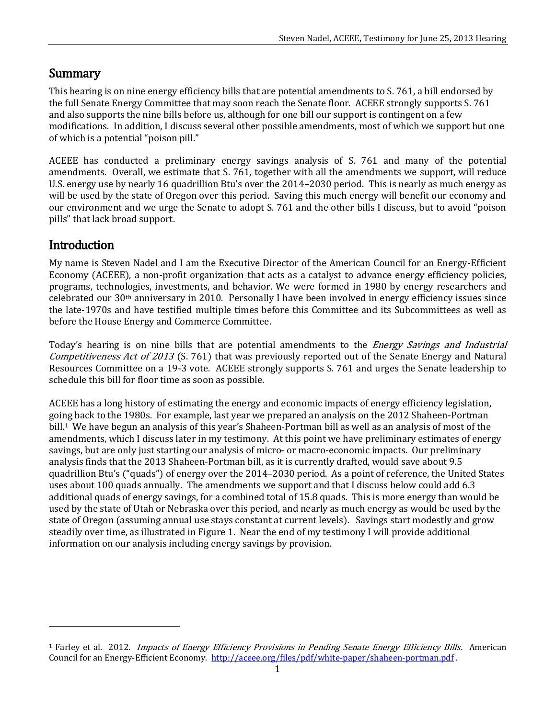## Summary

This hearing is on nine energy efficiency bills that are potential amendments to S. 761, a bill endorsed by the full Senate Energy Committee that may soon reach the Senate floor. ACEEE strongly supports S. 761 and also supports the nine bills before us, although for one bill our support is contingent on a few modifications. In addition, I discuss several other possible amendments, most of which we support but one of which is a potential "poison pill."

ACEEE has conducted a preliminary energy savings analysis of S. 761 and many of the potential amendments. Overall, we estimate that S. 761, together with all the amendments we support, will reduce U.S. energy use by nearly 16 quadrillion Btu's over the 2014–2030 period. This is nearly as much energy as will be used by the state of Oregon over this period. Saving this much energy will benefit our economy and our environment and we urge the Senate to adopt S. 761 and the other bills I discuss, but to avoid "poison pills" that lack broad support.

## Introduction

 $\overline{a}$ 

My name is Steven Nadel and I am the Executive Director of the American Council for an Energy-Efficient Economy (ACEEE), a non-profit organization that acts as a catalyst to advance energy efficiency policies, programs, technologies, investments, and behavior. We were formed in 1980 by energy researchers and celebrated our 30th anniversary in 2010. Personally I have been involved in energy efficiency issues since the late-1970s and have testified multiple times before this Committee and its Subcommittees as well as before the House Energy and Commerce Committee.

Today's hearing is on nine bills that are potential amendments to the *Energy Savings and Industrial* Competitiveness Act of 2013 (S. 761) that was previously reported out of the Senate Energy and Natural Resources Committee on a 19-3 vote. ACEEE strongly supports S. 761 and urges the Senate leadership to schedule this bill for floor time as soon as possible.

ACEEE has a long history of estimating the energy and economic impacts of energy efficiency legislation, going back to the 1980s. For example, last year we prepared an analysis on the 2012 Shaheen-Portman bill.<sup>1</sup> We have begun an analysis of this year's Shaheen-Portman bill as well as an analysis of most of the amendments, which I discuss later in my testimony. At this point we have preliminary estimates of energy savings, but are only just starting our analysis of micro- or macro-economic impacts. Our preliminary analysis finds that the 2013 Shaheen-Portman bill, as it is currently drafted, would save about 9.5 quadrillion Btu's ("quads") of energy over the 2014–2030 period. As a point of reference, the United States uses about 100 quads annually. The amendments we support and that I discuss below could add 6.3 additional quads of energy savings, for a combined total of 15.8 quads. This is more energy than would be used by the state of Utah or Nebraska over this period, and nearly as much energy as would be used by the state of Oregon (assuming annual use stays constant at current levels). Savings start modestly and grow steadily over time, as illustrated in Figure 1. Near the end of my testimony I will provide additional information on our analysis including energy savings by provision.

<sup>&</sup>lt;sup>1</sup> Farley et al. 2012. *Impacts of Energy Efficiency Provisions in Pending Senate Energy Efficiency Bills.* American Council for an Energy-Efficient Economy. <http://aceee.org/files/pdf/white-paper/shaheen-portman.pdf> .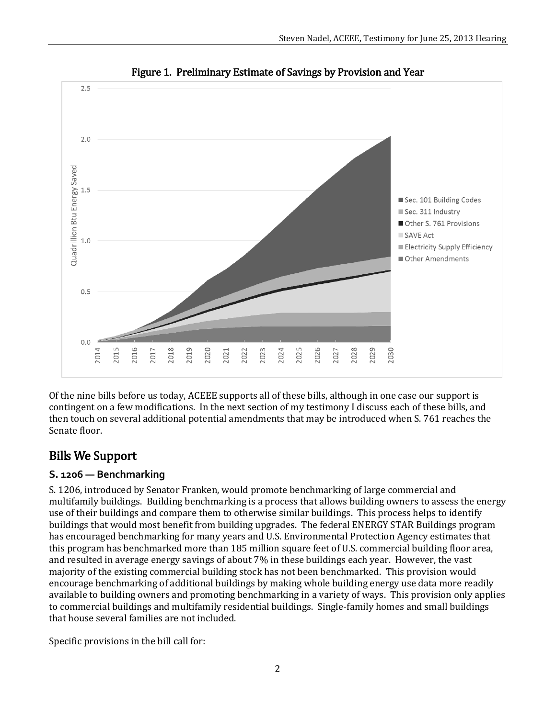

Figure 1. Preliminary Estimate of Savings by Provision and Year

Of the nine bills before us today, ACEEE supports all of these bills, although in one case our support is contingent on a few modifications. In the next section of my testimony I discuss each of these bills, and then touch on several additional potential amendments that may be introduced when S. 761 reaches the Senate floor.

# Bills We Support

## **S. 1206 — Benchmarking**

S. 1206, introduced by Senator Franken, would promote benchmarking of large commercial and multifamily buildings. Building benchmarking is a process that allows building owners to assess the energy use of their buildings and compare them to otherwise similar buildings. This process helps to identify buildings that would most benefit from building upgrades. The federal ENERGY STAR Buildings program has encouraged benchmarking for many years and U.S. Environmental Protection Agency estimates that this program has benchmarked more than 185 million square feet of U.S. commercial building floor area, and resulted in average energy savings of about 7% in these buildings each year. However, the vast majority of the existing commercial building stock has not been benchmarked. This provision would encourage benchmarking of additional buildings by making whole building energy use data more readily available to building owners and promoting benchmarking in a variety of ways. This provision only applies to commercial buildings and multifamily residential buildings. Single-family homes and small buildings that house several families are not included.

Specific provisions in the bill call for: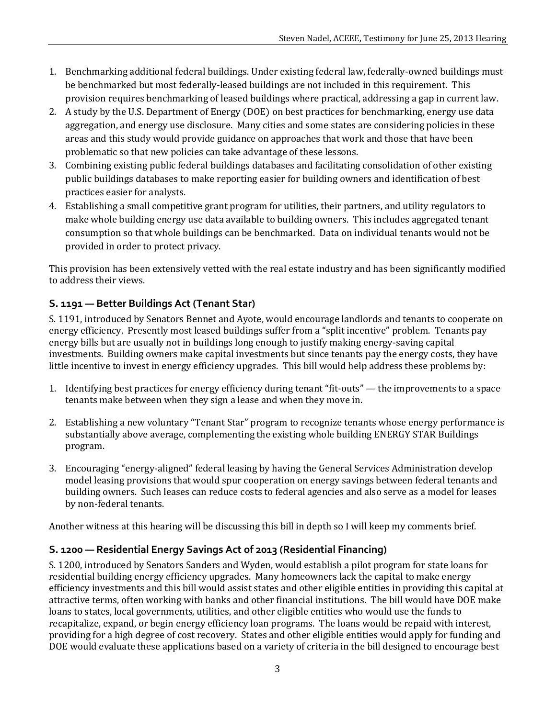- 1. Benchmarking additional federal buildings. Under existing federal law, federally-owned buildings must be benchmarked but most federally-leased buildings are not included in this requirement. This provision requires benchmarking of leased buildings where practical, addressing a gap in current law.
- 2. A study by the U.S. Department of Energy (DOE) on best practices for benchmarking, energy use data aggregation, and energy use disclosure. Many cities and some states are considering policies in these areas and this study would provide guidance on approaches that work and those that have been problematic so that new policies can take advantage of these lessons.
- 3. Combining existing public federal buildings databases and facilitating consolidation of other existing public buildings databases to make reporting easier for building owners and identification of best practices easier for analysts.
- 4. Establishing a small competitive grant program for utilities, their partners, and utility regulators to make whole building energy use data available to building owners. This includes aggregated tenant consumption so that whole buildings can be benchmarked. Data on individual tenants would not be provided in order to protect privacy.

This provision has been extensively vetted with the real estate industry and has been significantly modified to address their views.

## **S. 1191 — Better Buildings Act (Tenant Star)**

S. 1191, introduced by Senators Bennet and Ayote, would encourage landlords and tenants to cooperate on energy efficiency. Presently most leased buildings suffer from a "split incentive" problem. Tenants pay energy bills but are usually not in buildings long enough to justify making energy-saving capital investments. Building owners make capital investments but since tenants pay the energy costs, they have little incentive to invest in energy efficiency upgrades. This bill would help address these problems by:

- 1. Identifying best practices for energy efficiency during tenant "fit-outs" the improvements to a space tenants make between when they sign a lease and when they move in.
- 2. Establishing a new voluntary "Tenant Star" program to recognize tenants whose energy performance is substantially above average, complementing the existing whole building ENERGY STAR Buildings program.
- 3. Encouraging "energy-aligned" federal leasing by having the General Services Administration develop model leasing provisions that would spur cooperation on energy savings between federal tenants and building owners. Such leases can reduce costs to federal agencies and also serve as a model for leases by non-federal tenants.

Another witness at this hearing will be discussing this bill in depth so I will keep my comments brief.

#### **S. 1200 — Residential Energy Savings Act of 2013 (Residential Financing)**

S. 1200, introduced by Senators Sanders and Wyden, would establish a pilot program for state loans for residential building energy efficiency upgrades. Many homeowners lack the capital to make energy efficiency investments and this bill would assist states and other eligible entities in providing this capital at attractive terms, often working with banks and other financial institutions. The bill would have DOE make loans to states, local governments, utilities, and other eligible entities who would use the funds to recapitalize, expand, or begin energy efficiency loan programs. The loans would be repaid with interest, providing for a high degree of cost recovery. States and other eligible entities would apply for funding and DOE would evaluate these applications based on a variety of criteria in the bill designed to encourage best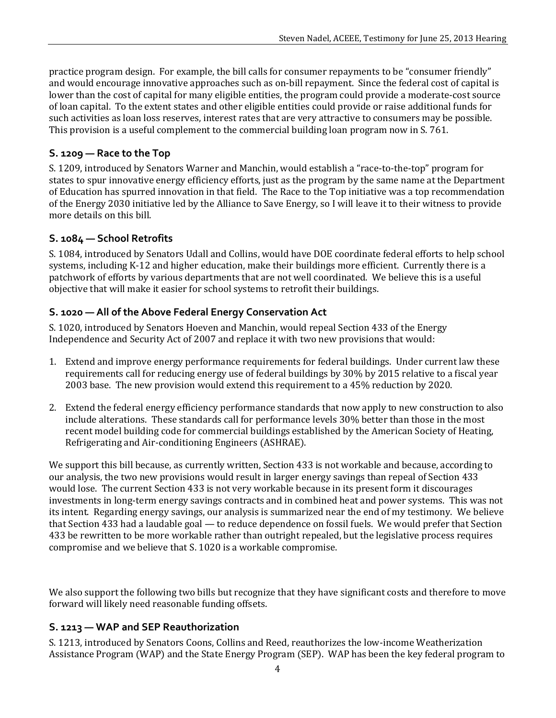practice program design. For example, the bill calls for consumer repayments to be "consumer friendly" and would encourage innovative approaches such as on-bill repayment. Since the federal cost of capital is lower than the cost of capital for many eligible entities, the program could provide a moderate-cost source of loan capital. To the extent states and other eligible entities could provide or raise additional funds for such activities as loan loss reserves, interest rates that are very attractive to consumers may be possible. This provision is a useful complement to the commercial building loan program now in S. 761.

#### **S. 1209 — Race to the Top**

S. 1209, introduced by Senators Warner and Manchin, would establish a "race-to-the-top" program for states to spur innovative energy efficiency efforts, just as the program by the same name at the Department of Education has spurred innovation in that field. The Race to the Top initiative was a top recommendation of the Energy 2030 initiative led by the Alliance to Save Energy, so I will leave it to their witness to provide more details on this bill.

#### **S. 1084 — School Retrofits**

S. 1084, introduced by Senators Udall and Collins, would have DOE coordinate federal efforts to help school systems, including K-12 and higher education, make their buildings more efficient. Currently there is a patchwork of efforts by various departments that are not well coordinated. We believe this is a useful objective that will make it easier for school systems to retrofit their buildings.

## **S. 1020 — All of the Above Federal Energy Conservation Act**

S. 1020, introduced by Senators Hoeven and Manchin, would repeal Section 433 of the Energy Independence and Security Act of 2007 and replace it with two new provisions that would:

- 1. Extend and improve energy performance requirements for federal buildings. Under current law these requirements call for reducing energy use of federal buildings by 30% by 2015 relative to a fiscal year 2003 base. The new provision would extend this requirement to a 45% reduction by 2020.
- 2. Extend the federal energy efficiency performance standards that now apply to new construction to also include alterations. These standards call for performance levels 30% better than those in the most recent model building code for commercial buildings established by the American Society of Heating, Refrigerating and Air-conditioning Engineers (ASHRAE).

We support this bill because, as currently written, Section 433 is not workable and because, according to our analysis, the two new provisions would result in larger energy savings than repeal of Section 433 would lose. The current Section 433 is not very workable because in its present form it discourages investments in long-term energy savings contracts and in combined heat and power systems. This was not its intent. Regarding energy savings, our analysis is summarized near the end of my testimony. We believe that Section 433 had a laudable goal — to reduce dependence on fossil fuels. We would prefer that Section 433 be rewritten to be more workable rather than outright repealed, but the legislative process requires compromise and we believe that S. 1020 is a workable compromise.

We also support the following two bills but recognize that they have significant costs and therefore to move forward will likely need reasonable funding offsets.

#### **S. 1213 — WAP and SEP Reauthorization**

S. 1213, introduced by Senators Coons, Collins and Reed, reauthorizes the low-income Weatherization Assistance Program (WAP) and the State Energy Program (SEP). WAP has been the key federal program to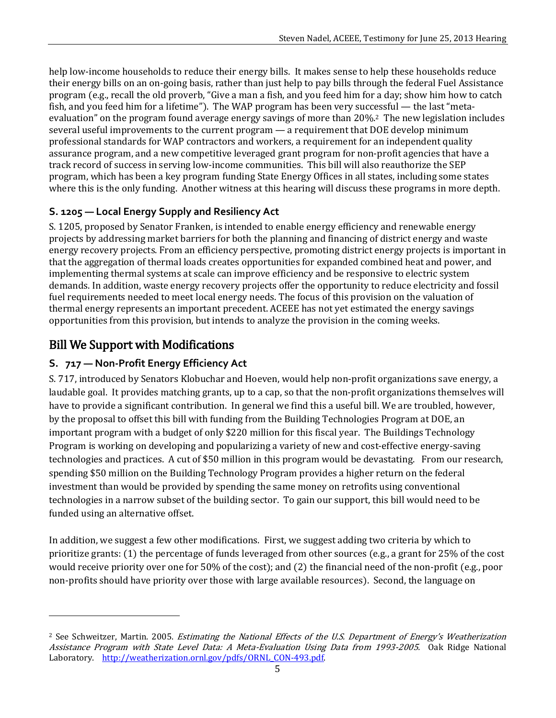help low-income households to reduce their energy bills. It makes sense to help these households reduce their energy bills on an on-going basis, rather than just help to pay bills through the federal Fuel Assistance program (e.g., recall the old proverb, "Give a man a fish, and you feed him for a day; show him how to catch fish, and you feed him for a lifetime"). The WAP program has been very successful — the last "metaevaluation" on the program found average energy savings of more than 20%.2 The new legislation includes several useful improvements to the current program — a requirement that DOE develop minimum professional standards for WAP contractors and workers, a requirement for an independent quality assurance program, and a new competitive leveraged grant program for non-profit agencies that have a track record of success in serving low-income communities. This bill will also reauthorize the SEP program, which has been a key program funding State Energy Offices in all states, including some states where this is the only funding. Another witness at this hearing will discuss these programs in more depth.

## **S. 1205 — Local Energy Supply and Resiliency Act**

S. 1205, proposed by Senator Franken, is intended to enable energy efficiency and renewable energy projects by addressing market barriers for both the planning and financing of district energy and waste energy recovery projects. From an efficiency perspective, promoting district energy projects is important in that the aggregation of thermal loads creates opportunities for expanded combined heat and power, and implementing thermal systems at scale can improve efficiency and be responsive to electric system demands. In addition, waste energy recovery projects offer the opportunity to reduce electricity and fossil fuel requirements needed to meet local energy needs. The focus of this provision on the valuation of thermal energy represents an important precedent. ACEEE has not yet estimated the energy savings opportunities from this provision, but intends to analyze the provision in the coming weeks.

# Bill We Support with Modifications

l

## **S. 717 — Non-Profit Energy Efficiency Act**

S. 717, introduced by Senators Klobuchar and Hoeven, would help non-profit organizations save energy, a laudable goal. It provides matching grants, up to a cap, so that the non-profit organizations themselves will have to provide a significant contribution. In general we find this a useful bill. We are troubled, however, by the proposal to offset this bill with funding from the Building Technologies Program at DOE, an important program with a budget of only \$220 million for this fiscal year. The Buildings Technology Program is working on developing and popularizing a variety of new and cost-effective energy-saving technologies and practices. A cut of \$50 million in this program would be devastating. From our research, spending \$50 million on the Building Technology Program provides a higher return on the federal investment than would be provided by spending the same money on retrofits using conventional technologies in a narrow subset of the building sector. To gain our support, this bill would need to be funded using an alternative offset.

In addition, we suggest a few other modifications. First, we suggest adding two criteria by which to prioritize grants: (1) the percentage of funds leveraged from other sources (e.g., a grant for 25% of the cost would receive priority over one for 50% of the cost); and (2) the financial need of the non-profit (e.g., poor non-profits should have priority over those with large available resources). Second, the language on

 $2$  See Schweitzer, Martin. 2005. Estimating the National Effects of the U.S. Department of Energy's Weatherization Assistance Program with State Level Data: A Meta-Evaluation Using Data from 1993-2005. Oak Ridge National Laboratory. http://weatherization.ornl.gov/pdfs/ORNL CON-493.pdf.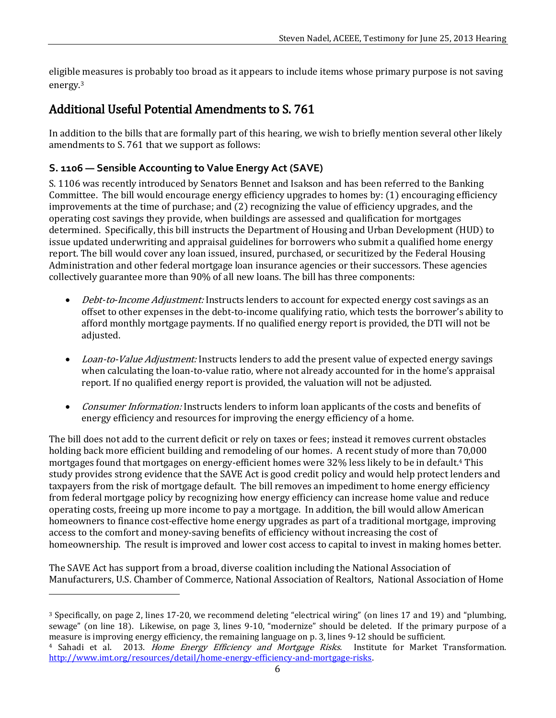eligible measures is probably too broad as it appears to include items whose primary purpose is not saving energy.<sup>3</sup>

# Additional Useful Potential Amendments to S. 761

In addition to the bills that are formally part of this hearing, we wish to briefly mention several other likely amendments to S. 761 that we support as follows:

## **S. 1106 — Sensible Accounting to Value Energy Act (SAVE)**

 $\overline{\phantom{0}}$ 

S. 1106 was recently introduced by Senators Bennet and Isakson and has been referred to the Banking Committee. The bill would encourage energy efficiency upgrades to homes by: (1) encouraging efficiency improvements at the time of purchase; and (2) recognizing the value of efficiency upgrades, and the operating cost savings they provide, when buildings are assessed and qualification for mortgages determined. Specifically, this bill instructs the Department of Housing and Urban Development (HUD) to issue updated underwriting and appraisal guidelines for borrowers who submit a qualified home energy report. The bill would cover any loan issued, insured, purchased, or securitized by the Federal Housing Administration and other federal mortgage loan insurance agencies or their successors. These agencies collectively guarantee more than 90% of all new loans. The bill has three components:

- *Debt-to-Income Adjustment:* Instructs lenders to account for expected energy cost savings as an offset to other expenses in the debt-to-income qualifying ratio, which tests the borrower's ability to afford monthly mortgage payments. If no qualified energy report is provided, the DTI will not be adiusted.
- Loan-to-Value Adjustment: Instructs lenders to add the present value of expected energy savings when calculating the loan-to-value ratio, where not already accounted for in the home's appraisal report. If no qualified energy report is provided, the valuation will not be adjusted.
- *Consumer Information:* Instructs lenders to inform loan applicants of the costs and benefits of energy efficiency and resources for improving the energy efficiency of a home.

The bill does not add to the current deficit or rely on taxes or fees; instead it removes current obstacles holding back more efficient building and remodeling of our homes. A recent study of more than 70,000 mortgages found that mortgages on energy-efficient homes were 32% less likely to be in default.<sup>4</sup> This study provides strong evidence that the SAVE Act is good credit policy and would help protect lenders and taxpayers from the risk of mortgage default. The bill removes an impediment to home energy efficiency from federal mortgage policy by recognizing how energy efficiency can increase home value and reduce operating costs, freeing up more income to pay a mortgage. In addition, the bill would allow American homeowners to finance cost-effective home energy upgrades as part of a traditional mortgage, improving access to the comfort and money-saving benefits of efficiency without increasing the cost of homeownership. The result is improved and lower cost access to capital to invest in making homes better.

The SAVE Act has support from a broad, diverse coalition including the National Association of Manufacturers, U.S. Chamber of Commerce, National Association of Realtors, National Association of Home

<sup>3</sup> Specifically, on page 2, lines 17-20, we recommend deleting "electrical wiring" (on lines 17 and 19) and "plumbing, sewage" (on line 18). Likewise, on page 3, lines 9-10, "modernize" should be deleted. If the primary purpose of a measure is improving energy efficiency, the remaining language on p. 3, lines 9-12 should be sufficient.

<sup>&</sup>lt;sup>4</sup> Sahadi et al. 2013. Home Energy Efficiency and Mortgage Risks. Institute for Market Transformation. [http://www.imt.org/resources/detail/home-energy-efficiency-and-mortgage-risks.](http://www.imt.org/resources/detail/home-energy-efficiency-and-mortgage-risks)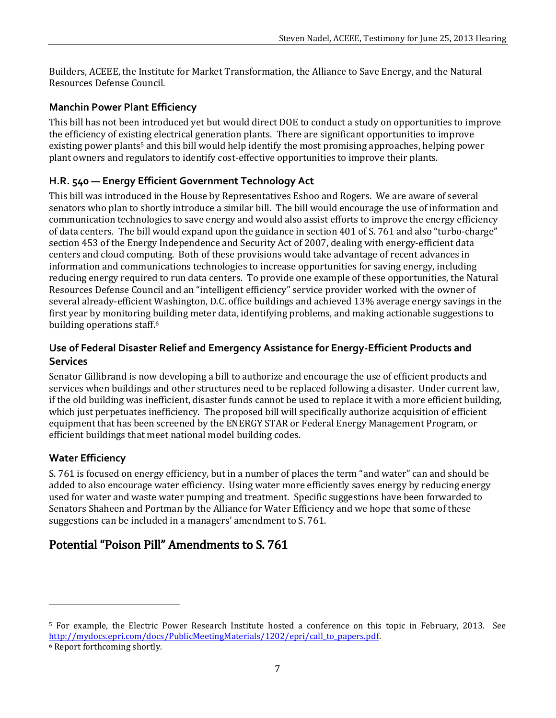Builders, ACEEE, the Institute for Market Transformation, the Alliance to Save Energy, and the Natural Resources Defense Council.

#### **Manchin Power Plant Efficiency**

This bill has not been introduced yet but would direct DOE to conduct a study on opportunities to improve the efficiency of existing electrical generation plants. There are significant opportunities to improve existing power plants<sup>5</sup> and this bill would help identify the most promising approaches, helping power plant owners and regulators to identify cost-effective opportunities to improve their plants.

#### **H.R. 540 — Energy Efficient Government Technology Act**

This bill was introduced in the House by Representatives Eshoo and Rogers. We are aware of several senators who plan to shortly introduce a similar bill. The bill would encourage the use of information and communication technologies to save energy and would also assist efforts to improve the energy efficiency of data centers. The bill would expand upon the guidance in section 401 of S. 761 and also "turbo-charge" section 453 of the Energy Independence and Security Act of 2007, dealing with energy-efficient data centers and cloud computing. Both of these provisions would take advantage of recent advances in information and communications technologies to increase opportunities for saving energy, including reducing energy required to run data centers. To provide one example of these opportunities, the Natural Resources Defense Council and an "intelligent efficiency" service provider worked with the owner of several already-efficient Washington, D.C. office buildings and achieved 13% average energy savings in the first year by monitoring building meter data, identifying problems, and making actionable suggestions to building operations staff.<sup>6</sup>

#### **Use of Federal Disaster Relief and Emergency Assistance for Energy-Efficient Products and Services**

Senator Gillibrand is now developing a bill to authorize and encourage the use of efficient products and services when buildings and other structures need to be replaced following a disaster. Under current law, if the old building was inefficient, disaster funds cannot be used to replace it with a more efficient building, which just perpetuates inefficiency. The proposed bill will specifically authorize acquisition of efficient equipment that has been screened by the ENERGY STAR or Federal Energy Management Program, or efficient buildings that meet national model building codes.

#### **Water Efficiency**

S. 761 is focused on energy efficiency, but in a number of places the term "and water" can and should be added to also encourage water efficiency. Using water more efficiently saves energy by reducing energy used for water and waste water pumping and treatment. Specific suggestions have been forwarded to Senators Shaheen and Portman by the Alliance for Water Efficiency and we hope that some of these suggestions can be included in a managers' amendment to S. 761.

# Potential "Poison Pill" Amendments to S. 761

l

<sup>5</sup> For example, the Electric Power Research Institute hosted a conference on this topic in February, 2013. See [http://mydocs.epri.com/docs/PublicMeetingMaterials/1202/epri/call\\_to\\_papers.pdf.](http://mydocs.epri.com/docs/PublicMeetingMaterials/1202/epri/call_to_papers.pdf)

<sup>6</sup> Report forthcoming shortly.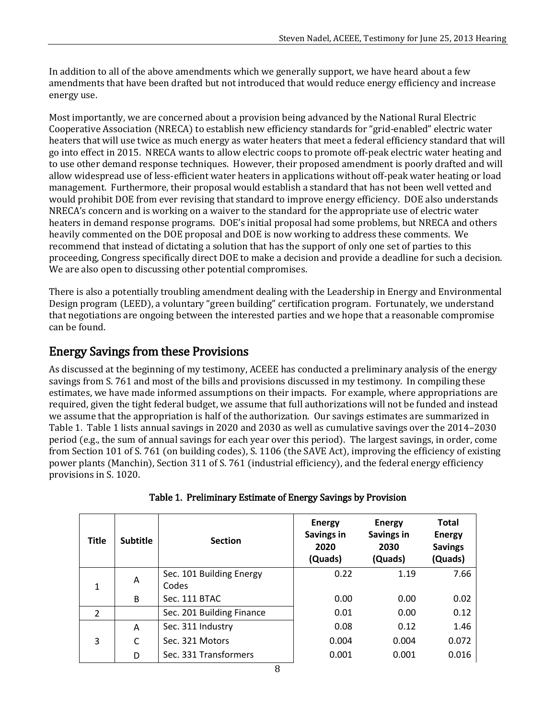In addition to all of the above amendments which we generally support, we have heard about a few amendments that have been drafted but not introduced that would reduce energy efficiency and increase energy use.

Most importantly, we are concerned about a provision being advanced by the National Rural Electric Cooperative Association (NRECA) to establish new efficiency standards for "grid-enabled" electric water heaters that will use twice as much energy as water heaters that meet a federal efficiency standard that will go into effect in 2015. NRECA wants to allow electric coops to promote off-peak electric water heating and to use other demand response techniques. However, their proposed amendment is poorly drafted and will allow widespread use of less-efficient water heaters in applications without off-peak water heating or load management. Furthermore, their proposal would establish a standard that has not been well vetted and would prohibit DOE from ever revising that standard to improve energy efficiency. DOE also understands NRECA's concern and is working on a waiver to the standard for the appropriate use of electric water heaters in demand response programs. DOE's initial proposal had some problems, but NRECA and others heavily commented on the DOE proposal and DOE is now working to address these comments. We recommend that instead of dictating a solution that has the support of only one set of parties to this proceeding, Congress specifically direct DOE to make a decision and provide a deadline for such a decision. We are also open to discussing other potential compromises.

There is also a potentially troubling amendment dealing with the Leadership in Energy and Environmental Design program (LEED), a voluntary "green building" certification program. Fortunately, we understand that negotiations are ongoing between the interested parties and we hope that a reasonable compromise can be found.

# Energy Savings from these Provisions

As discussed at the beginning of my testimony, ACEEE has conducted a preliminary analysis of the energy savings from S. 761 and most of the bills and provisions discussed in my testimony. In compiling these estimates, we have made informed assumptions on their impacts. For example, where appropriations are required, given the tight federal budget, we assume that full authorizations will not be funded and instead we assume that the appropriation is half of the authorization. Our savings estimates are summarized in Table 1. Table 1 lists annual savings in 2020 and 2030 as well as cumulative savings over the 2014–2030 period (e.g., the sum of annual savings for each year over this period). The largest savings, in order, come from Section 101 of S. 761 (on building codes), S. 1106 (the SAVE Act), improving the efficiency of existing power plants (Manchin), Section 311 of S. 761 (industrial efficiency), and the federal energy efficiency provisions in S. 1020.

| Title          | <b>Subtitle</b> | <b>Section</b>            | <b>Energy</b><br>Savings in<br>2020<br>(Quads) | <b>Energy</b><br>Savings in<br>2030<br>(Quads) | <b>Total</b><br><b>Energy</b><br><b>Savings</b><br>(Quads) |
|----------------|-----------------|---------------------------|------------------------------------------------|------------------------------------------------|------------------------------------------------------------|
| $\mathbf{1}$   | A               | Sec. 101 Building Energy  | 0.22                                           | 1.19                                           | 7.66                                                       |
|                |                 | Codes                     |                                                |                                                |                                                            |
|                | <sub>B</sub>    | Sec. 111 BTAC             | 0.00                                           | 0.00                                           | 0.02                                                       |
| $\overline{2}$ |                 | Sec. 201 Building Finance | 0.01                                           | 0.00                                           | 0.12                                                       |
| 3              | A               | Sec. 311 Industry         | 0.08                                           | 0.12                                           | 1.46                                                       |
|                | C               | Sec. 321 Motors           | 0.004                                          | 0.004                                          | 0.072                                                      |
|                | D               | Sec. 331 Transformers     | 0.001                                          | 0.001                                          | 0.016                                                      |

|  |  |  |  |  | Table 1. Preliminary Estimate of Energy Savings by Provision |
|--|--|--|--|--|--------------------------------------------------------------|
|--|--|--|--|--|--------------------------------------------------------------|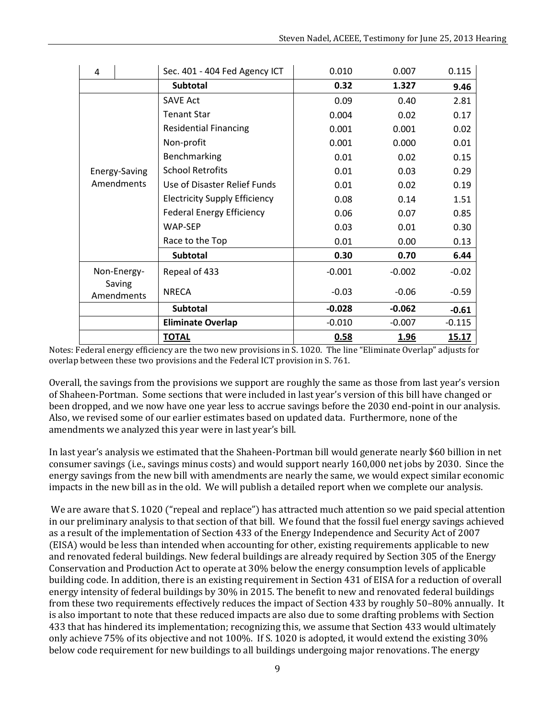| 4                     |               | Sec. 401 - 404 Fed Agency ICT        | 0.010    | 0.007    | 0.115        |
|-----------------------|---------------|--------------------------------------|----------|----------|--------------|
|                       |               | <b>Subtotal</b>                      | 0.32     | 1.327    | 9.46         |
|                       |               | <b>SAVE Act</b>                      | 0.09     | 0.40     | 2.81         |
|                       |               | <b>Tenant Star</b>                   | 0.004    | 0.02     | 0.17         |
|                       |               | <b>Residential Financing</b>         | 0.001    | 0.001    | 0.02         |
|                       |               | Non-profit                           | 0.001    | 0.000    | 0.01         |
|                       |               | Benchmarking                         | 0.01     | 0.02     | 0.15         |
|                       | Energy-Saving | <b>School Retrofits</b>              | 0.01     | 0.03     | 0.29         |
|                       | Amendments    | Use of Disaster Relief Funds         | 0.01     | 0.02     | 0.19         |
|                       |               | <b>Electricity Supply Efficiency</b> | 0.08     | 0.14     | 1.51         |
|                       |               | <b>Federal Energy Efficiency</b>     | 0.06     | 0.07     | 0.85         |
|                       |               | <b>WAP-SEP</b>                       | 0.03     | 0.01     | 0.30         |
|                       |               | Race to the Top                      | 0.01     | 0.00     | 0.13         |
|                       |               | <b>Subtotal</b>                      | 0.30     | 0.70     | 6.44         |
| Non-Energy-<br>Saving |               | Repeal of 433                        | $-0.001$ | $-0.002$ | $-0.02$      |
|                       |               | <b>NRECA</b>                         |          |          |              |
|                       | Amendments    |                                      | $-0.03$  | $-0.06$  | $-0.59$      |
|                       |               | <b>Subtotal</b>                      | $-0.028$ | $-0.062$ | $-0.61$      |
|                       |               | <b>Eliminate Overlap</b>             | $-0.010$ | $-0.007$ | $-0.115$     |
|                       |               | <b>TOTAL</b>                         | 0.58     | 1.96     | <u>15.17</u> |

Notes: Federal energy efficiency are the two new provisions in S. 1020. The line "Eliminate Overlap" adjusts for overlap between these two provisions and the Federal ICT provision in S. 761.

Overall, the savings from the provisions we support are roughly the same as those from last year's version of Shaheen-Portman. Some sections that were included in last year's version of this bill have changed or been dropped, and we now have one year less to accrue savings before the 2030 end-point in our analysis. Also, we revised some of our earlier estimates based on updated data. Furthermore, none of the amendments we analyzed this year were in last year's bill.

In last year's analysis we estimated that the Shaheen-Portman bill would generate nearly \$60 billion in net consumer savings (i.e., savings minus costs) and would support nearly 160,000 net jobs by 2030. Since the energy savings from the new bill with amendments are nearly the same, we would expect similar economic impacts in the new bill as in the old. We will publish a detailed report when we complete our analysis.

We are aware that S. 1020 ("repeal and replace") has attracted much attention so we paid special attention in our preliminary analysis to that section of that bill. We found that the fossil fuel energy savings achieved as a result of the implementation of Section 433 of the Energy Independence and Security Act of 2007 (EISA) would be less than intended when accounting for other, existing requirements applicable to new and renovated federal buildings. New federal buildings are already required by Section 305 of the Energy Conservation and Production Act to operate at 30% below the energy consumption levels of applicable building code. In addition, there is an existing requirement in Section 431 of EISA for a reduction of overall energy intensity of federal buildings by 30% in 2015. The benefit to new and renovated federal buildings from these two requirements effectively reduces the impact of Section 433 by roughly 50–80% annually. It is also important to note that these reduced impacts are also due to some drafting problems with Section 433 that has hindered its implementation; recognizing this, we assume that Section 433 would ultimately only achieve 75% of its objective and not 100%. If S. 1020 is adopted, it would extend the existing 30% below code requirement for new buildings to all buildings undergoing major renovations. The energy